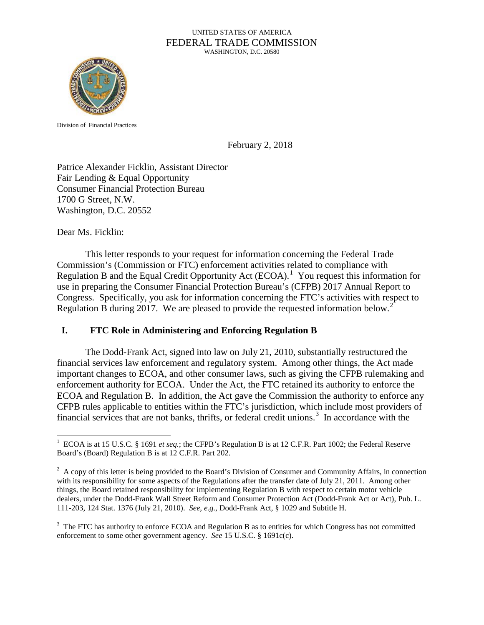#### UNITED STATES OF AMERICA FEDERAL TRADE COMMISSION WASHINGTON, D.C. 20580



Division of Financial Practices

February 2, 2018

 Patrice Alexander Ficklin, Assistant Director Fair Lending & Equal Opportunity Fair Lending & Equal Opportunity 1700 G Street, N.W. Consumer Financial Protection Bureau 1700 G Street, N.W.<br>Washington, D.C. 20552<br>Dear Ms. Ficklin:

Regulation B and the Equal Credit Opportunity Act  $(ECOA)^1$  You request this information for This letter responds to your request for information concerning the Federal Trade Commission's (Commission or FTC) enforcement activities related to compliance with use in preparing the Consumer Financial Protection Bureau's (CFPB) 2017 Annual Report to Congress. Specifically, you ask for information concerning the FTC's activities with respect to Regulation B during [2](#page-0-1)017. We are pleased to provide the requested information below.<sup>2</sup>

### **I. FTC Role in Administering and Enforcing Regulation B**

 financial services law enforcement and regulatory system. Among other things, the Act made important changes to ECOA, and other consumer laws, such as giving the CFPB rulemaking and ECOA and Regulation B. In addition, the Act gave the Commission the authority to enforce any financial services that are not banks, thrifts, or federal credit unions.<sup>3</sup> In accordance with the The Dodd-Frank Act, signed into law on July 21, 2010, substantially restructured the enforcement authority for ECOA. Under the Act, the FTC retained its authority to enforce the CFPB rules applicable to entities within the FTC's jurisdiction, which include most providers of

<span id="page-0-0"></span>l <sup>1</sup> ECOA is at 15 U.S.C. § 1691 *et seq*.; the CFPB's Regulation B is at 12 C.F.R. Part 1002; the Federal Reserve Board's (Board) Regulation B is at 12 C.F.R. Part 202.

<span id="page-0-1"></span>Board's (Board) Regulation B is at 12 C.F.R. Part 202.<br><sup>2</sup> A copy of this letter is being provided to the Board's Division of Consumer and Community Affairs, in connection 111-203, 124 Stat. 1376 (July 21, 2010). *See, e.g.,* Dodd-Frank Act, § 1029 and Subtitle H. with its responsibility for some aspects of the Regulations after the transfer date of July 21, 2011. Among other things, the Board retained responsibility for implementing Regulation B with respect to certain motor vehicle dealers, under the Dodd-Frank Wall Street Reform and Consumer Protection Act (Dodd-Frank Act or Act), Pub. L.

<span id="page-0-2"></span> $3$  The FTC has authority to enforce ECOA and Regulation B as to entities for which Congress has not committed enforcement to some other government agency. *See* 15 U.S.C. § 1691c(c).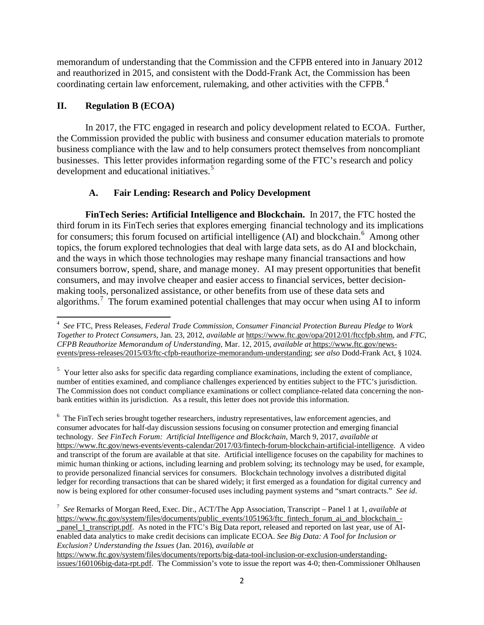coordinating certain law enforcement, rulemaking, and other activities with the CFPB. $4$ memorandum of understanding that the Commission and the CFPB entered into in January 2012 and reauthorized in 2015, and consistent with the Dodd-Frank Act, the Commission has been

## **II. Regulation B (ECOA)**

In 2017, the FTC engaged in research and policy development related to ECOA. Further, the Commission provided the public with business and consumer education materials to promote business compliance with the law and to help consumers protect themselves from noncompliant businesses. This letter provides information regarding some of the FTC's research and policy development and educational initiatives.<sup>5</sup>

# **A. Fair Lending: Research and Policy Development**

 **FinTech Series: Artificial Intelligence and Blockchain.** In 2017, the FTC hosted the third forum in its FinTech series that explores emerging financial technology and its implications for consumers; this forum focused on artificial intelligence (AI) and blockchain.<sup>[6](#page-1-2)</sup> Among other and the ways in which those technologies may reshape many financial transactions and how consumers borrow, spend, share, and manage money. AI may present opportunities that benefit algorithms.<sup>7</sup> The forum examined potential challenges that may occur when using AI to inform topics, the forum explored technologies that deal with large data sets, as do AI and blockchain, consumers, and may involve cheaper and easier access to financial services, better decisionmaking tools, personalized assistance, or other benefits from use of these data sets and

<span id="page-1-2"></span> $6$  The FinTech series brought together researchers, industry representatives, law enforcement agencies, and consumer advocates for half-day discussion sessions focusing on consumer protection and emerging financial technology. *See FinTech Forum: Artificial Intelligence and Blockchain*, March 9, 2017, *available at*  and transcript of the forum are available at that site. Artificial intelligence focuses on the capability for machines to now is being explored for other consumer-focused uses including payment systems and "smart contracts." *See id*. https://www.ftc.gov/news-events/events-calendar/2017/03/fintech-forum-blockchain-artificial-intelligence. A video mimic human thinking or actions, including learning and problem solving; its technology may be used, for example, to provide personalized financial services for consumers. Blockchain technology involves a distributed digital ledger for recording transactions that can be shared widely; it first emerged as a foundation for digital currency and

<span id="page-1-3"></span> <sup>7</sup>*See* Remarks of Morgan Reed, Exec. Dir., ACT/The App Association, Transcript – Panel 1 at 1, *available at*  panel 1 transcript.pdf. As noted in the FTC's Big Data report, released and reported on last year, use of AI- *Exclusion? Understanding the Issues* (Jan. 2016), *available at* https://www.ftc.gov/system/files/documents/public\_events/1051963/ftc\_fintech\_forum\_ai\_and\_blockchain\_enabled data analytics to make credit decisions can implicate ECOA. *See Big Data: A Tool for Inclusion or*  https://www.ftc.gov/system/files/documents/reports/big-data-tool-inclusion-or-exclusion-understanding-

issues/160106big-data-rpt.pdf. The Commission's vote to issue the report was 4-0; then-Commissioner Ohlhausen

<span id="page-1-0"></span>l <sup>4</sup>*See* FTC, Press Releases, *Federal Trade Commission, Consumer Financial Protection Bureau Pledge to Work*  events/press-releases/2015/03/ftc-cfpb-reauthorize-memorandum-understanding; *see also* Dodd-Frank Act, § 1024. *Together to Protect Consumers*, Jan. 23, 2012, *available at* https://www.ftc.gov/opa/2012/01/ftccfpb.shtm, and *FTC, CFPB Reauthorize Memorandum of Understanding*, Mar. 12, 2015, *available at* https://www.ftc.gov/news-

<span id="page-1-1"></span> $5$  Your letter also asks for specific data regarding compliance examinations, including the extent of compliance, number of entities examined, and compliance challenges experienced by entities subject to the FTC's jurisdiction. The Commission does not conduct compliance examinations or collect compliance-related data concerning the nonbank entities within its jurisdiction. As a result, this letter does not provide this information.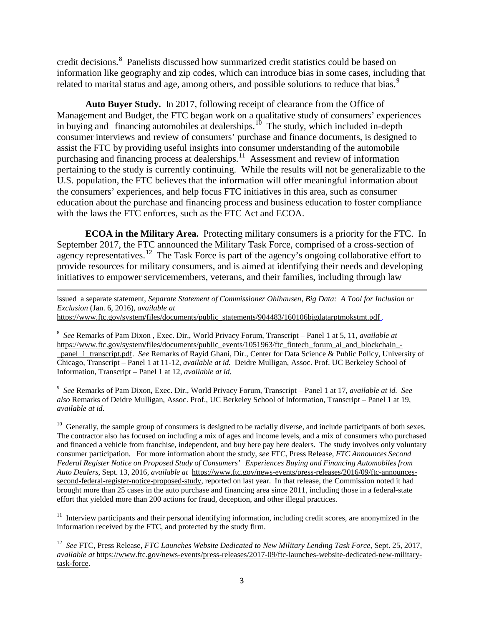credit decisions.<sup>[8](#page-2-0)</sup> Panelists discussed how summarized credit statistics could be based on related to marital status and age, among others, and possible solutions to reduce that bias.<sup>9</sup> information like geography and zip codes, which can introduce bias in some cases, including that

 Management and Budget, the FTC began work on a qualitative study of consumers' experiences in buying and financing automobiles at dealerships.<sup>[10](#page-2-2)</sup> The study, which included in-depth consumer interviews and review of consumers' purchase and finance documents, is designed to assist the FTC by providing useful insights into consumer understanding of the automobile purchasing and financing process at dealerships.<sup>[11](#page-2-3)</sup> Assessment and review of information with the laws the FTC enforces, such as the FTC Act and ECOA. **Auto Buyer Study.** In 2017, following receipt of clearance from the Office of pertaining to the study is currently continuing. While the results will not be generalizable to the U.S. population, the FTC believes that the information will offer meaningful information about the consumers' experiences, and help focus FTC initiatives in this area, such as consumer education about the purchase and financing process and business education to foster compliance

agency representatives.<sup>12</sup> The Task Force is part of the agency's ongoing collaborative effort to **ECOA in the Military Area.** Protecting military consumers is a priority for the FTC. In September 2017, the FTC announced the Military Task Force, comprised of a cross-section of provide resources for military consumers, and is aimed at identifying their needs and developing initiatives to empower servicemembers, veterans, and their families, including through law

 $\overline{\phantom{a}}$ issued a separate statement, *Separate Statement of Commissioner Ohlhausen, Big Data: A Tool for Inclusion or Exclusion* (Jan. 6, 2016), *available at* 

https://www.ftc.gov/system/files/documents/public\_statements/904483/160106bigdatarptmokstmt.pdf .

<span id="page-2-0"></span> <sup>8</sup>*See* Remarks of Pam Dixon , Exec. Dir., World Privacy Forum, Transcript – Panel 1 at 5, 11, *available at*  https://www.ftc.gov/system/files/documents/public\_events/1051963/ftc\_fintech\_forum\_ai\_and\_blockchain\_- \_panel\_1\_transcript.pdf. *See* Remarks of Rayid Ghani, Dir., Center for Data Science & Public Policy, University of Chicago, Transcript – Panel 1 at 11-12, *available at id.* Deidre Mulligan, Assoc. Prof. UC Berkeley School of Information, Transcript – Panel 1 at 12, *available at id.* 

<span id="page-2-1"></span> <sup>9</sup>*See* Remarks of Pam Dixon, Exec. Dir., World Privacy Forum, Transcript – Panel 1 at 17, *available at id. See also* Remarks of Deidre Mulligan, Assoc. Prof., UC Berkeley School of Information, Transcript – Panel 1 at 19, *available at id*.

<span id="page-2-2"></span> $10$  Generally, the sample group of consumers is designed to be racially diverse, and include participants of both sexes. The contractor also has focused on including a mix of ages and income levels, and a mix of consumers who purchased and financed a vehicle from franchise, independent, and buy here pay here dealers. The study involves only voluntary consumer participation. For more information about the study, *see* FTC, Press Release, *FTC Announces Second Federal Register Notice on Proposed Study of Consumers' Experiences Buying and Financing Automobiles from Auto Dealers*, Sept. 13, 2016, *available at* https:/[/www.ftc.gov/news-events/press-releases/2016/09/ftc-announces](http://www.ftc.gov/news-events/press-releases/2016/09/ftc-announces-second-federal-register-notice-proposed-)[second-federal-register-notice-proposed-s](http://www.ftc.gov/news-events/press-releases/2016/09/ftc-announces-second-federal-register-notice-proposed-)tudy, reported on last year. In that release, the Commission noted it had effort that yielded more than 200 actions for fraud, deception, and other illegal practices. brought more than 25 cases in the auto purchase and financing area since 2011, including those in a federal-state

<span id="page-2-3"></span> $11$  Interview participants and their personal identifying information, including credit scores, are anonymized in the information received by the FTC, and protected by the study firm.

<span id="page-2-4"></span> <sup>12</sup>*See* FTC, Press Release, *FTC Launches Website Dedicated to New Military Lending Task Force*, Sept. 25, 2017, *available at* https://www.ftc.gov/news-events/press-releases/2017-09/ftc-launches-website-dedicated-new-militarytask-force.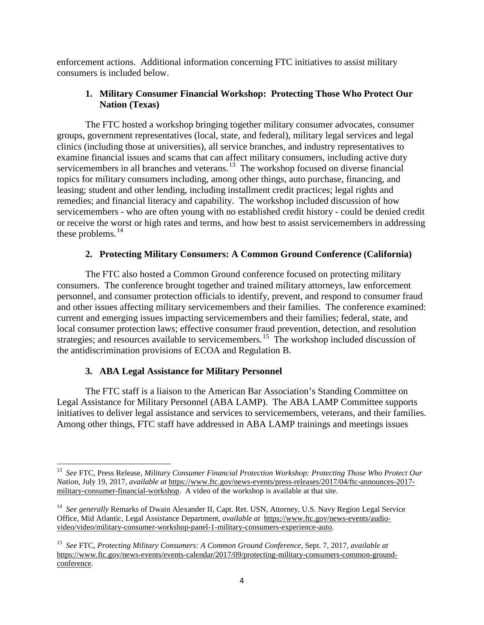enforcement actions. Additional information concerning FTC initiatives to assist military consumers is included below.

### **1. Military Consumer Financial Workshop: Protecting Those Who Protect Our Nation (Texas)**

servicemembers in all branches and veterans.<sup>13</sup> The workshop focused on diverse financial topics for military consumers including, among other things, auto purchase, financing, and remedies; and financial literacy and capability. The workshop included discussion of how servicemembers - who are often young with no established credit history - could be denied credit these problems. $^{14}$  $^{14}$  $^{14}$ The FTC hosted a workshop bringing together military consumer advocates, consumer groups, government representatives (local, state, and federal), military legal services and legal clinics (including those at universities), all service branches, and industry representatives to examine financial issues and scams that can affect military consumers, including active duty leasing; student and other lending, including installment credit practices; legal rights and or receive the worst or high rates and terms, and how best to assist servicemembers in addressing

#### **2. Protecting Military Consumers: A Common Ground Conference (California)**

 The FTC also hosted a Common Ground conference focused on protecting military and other issues affecting military servicemembers and their families. The conference examined: strategies; and resources available to servicemembers.<sup>15</sup> The workshop included discussion of consumers. The conference brought together and trained military attorneys, law enforcement personnel, and consumer protection officials to identify, prevent, and respond to consumer fraud current and emerging issues impacting servicemembers and their families; federal, state, and local consumer protection laws; effective consumer fraud prevention, detection, and resolution the antidiscrimination provisions of ECOA and Regulation B.

### **3. ABA Legal Assistance for Military Personnel**

 $\overline{\phantom{a}}$ 

 Legal Assistance for Military Personnel (ABA LAMP). The ABA LAMP Committee supports The FTC staff is a liaison to the American Bar Association's Standing Committee on initiatives to deliver legal assistance and services to servicemembers, veterans, and their families. Among other things, FTC staff have addressed in ABA LAMP trainings and meetings issues

<span id="page-3-0"></span> <sup>13</sup>*See* FTC, Press Release, *Military Consumer Financial Protection Workshop: Protecting Those Who Protect Our*  military-consumer-financial-workshop. A video of the workshop is available at that site. *Nation*, July 19, 2017, *available at* https://www.ftc.gov/news-events/press-releases/2017/04/ftc-announces-2017-

<span id="page-3-1"></span><sup>&</sup>lt;sup>14</sup> See generally Remarks of Dwain Alexander II, Capt. Ret. USN, Attorney, U.S. Navy Region Legal Service Office, Mid Atlantic, Legal Assistance Department, *available at* https://www.ftc.gov/news-events/audiovideo/video/military-consumer-workshop-panel-1-military-consumers-experience-auto.

<span id="page-3-2"></span> <sup>15</sup>*See* FTC, *Protecting Military Consumers: A Common Ground Conference*, Sept. 7, 2017, *available at*  https://www.ftc.gov/news-events/events-calendar/2017/09/protecting-military-consumers-common-groundconference.